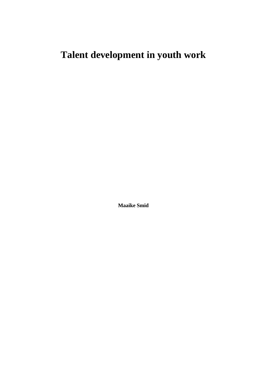# **Talent development in youth work**

**Maaike Smid**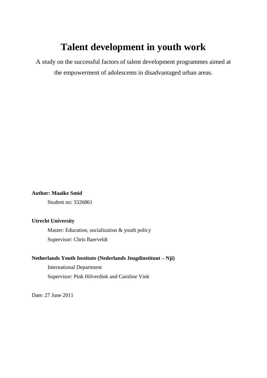# **Talent development in youth work**

A study on the successful factors of talent development programmes aimed at the empowerment of adolescents in disadvantaged urban areas.

# **Author: Maaike Smid**

Student no: 3326861

# **Utrecht University**

Master: Education, socialization & youth policy Supervisor: Chris Baerveldt

# **Netherlands Youth Institute (Nederlands Jeugdinstituut – Nji)**

International Department Supervisor: Pink Hilverdink and Caroline Vink

Date: 27 June 2011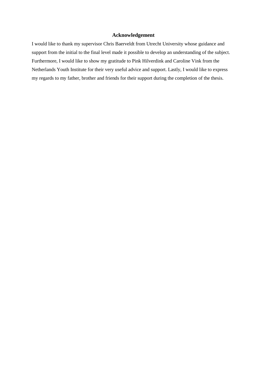# **Acknowledgement**

I would like to thank my supervisor Chris Baerveldt from Utrecht University whose guidance and support from the initial to the final level made it possible to develop an understanding of the subject. Furthermore, I would like to show my gratitude to Pink Hilverdink and Caroline Vink from the Netherlands Youth Institute for their very useful advice and support. Lastly, I would like to express my regards to my father, brother and friends for their support during the completion of the thesis.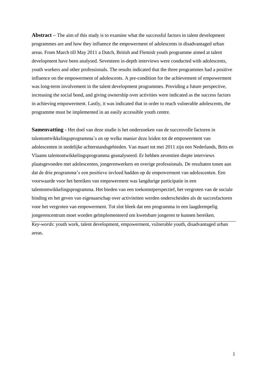**Abstract –** The aim of this study is to examine what the successful factors in talent development programmes are and how they influence the empowerment of adolescents in disadvantaged urban areas. From March till May 2011 a Dutch, British and Flemish youth programme aimed at talent development have been analysed. Seventeen in-depth interviews were conducted with adolescents, youth workers and other professionals. The results indicated that the three programmes had a positive influence on the empowerment of adolescents. A pre-condition for the achievement of empowerment was long-term involvement in the talent development programmes. Providing a future perspective, increasing the social bond, and giving ownership over activities were indicated as the success factors in achieving empowerment. Lastly, it was indicated that in order to reach vulnerable adolescents, the programme must be implemented in an easily accessible youth centre.

**Samenvatting -** Het doel van deze studie is het onderzoeken van de succesvolle factoren in talentontwikkelingsprogramma"s en op welke manier deze leiden tot de empowerment van adolescenten in stedelijke achterstandsgebieden. Van maart tot mei 2011 zijn een Nederlands, Brits en Vlaams talentontwikkelingsprogramma geanalyseerd. Er hebben zeventien diepte interviews plaatsgevonden met adolescenten, jongerenwerkers en overige professionals. De resultaten tonen aan dat de drie programma"s een positieve invloed hadden op de empowerment van adolescenten. Een voorwaarde voor het bereiken van empowerment was langdurige participatie in een talentontwikkelingsprogramma. Het bieden van een toekomstperspectief, het vergroten van de sociale binding en het geven van eigenaarschap over activiteiten werden onderscheiden als de succesfactoren voor het vergroten van empowerment. Tot slot bleek dat een programma in een laagdrempelig jongerencentrum moet worden geïmplementeerd om kwetsbare jongeren te kunnen bereiken.

*Key-words*: youth work, talent development, empowerment, vulnerable youth, disadvantaged urban areas.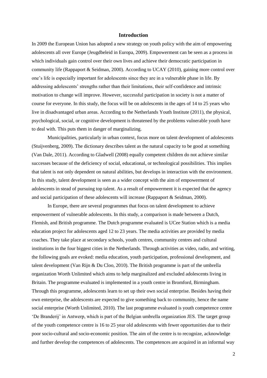#### **Introduction**

In 2009 the European Union has adopted a new strategy on youth policy with the aim of empowering adolescents all over Europe (Jeugdbeleid in Europa, 2009). Empowerment can be seen as a process in which individuals gain control over their own lives and achieve their democratic participation in community life (Rappaport & Seidman, 2000). According to UCAY (2010), gaining more control over one"s life is especially important for adolescents since they are in a vulnerable phase in life. By addressing adolescents" strengths rather than their limitations, their self-confidence and intrinsic motivation to change will improve. However, successful participation in society is not a matter of course for everyone. In this study, the focus will be on adolescents in the ages of 14 to 25 years who live in disadvantaged urban areas. According to the Netherlands Youth Institute (2011), the physical, psychological, social, or cognitive development is threatened by the problems vulnerable youth have to deal with. This puts them in danger of marginalizing.

Municipalities, particularly in urban context, focus more on talent development of adolescents (Stuijvenberg, 2009). The dictionary describes talent as the natural capacity to be good at something (Van Dale, 2011). According to Gladwell (2008) equally competent children do not achieve similar successes because of the deficiency of social, educational, or technological possibilities. This implies that talent is not only dependent on natural abilities, but develops in interaction with the environment. In this study, talent development is seen as a wider concept with the aim of empowerment of adolescents in stead of pursuing top talent. As a result of empowerment it is expected that the agency and social participation of these adolescents will increase (Rappaport & Seidman, 2000).

In Europe, there are several programmes that focus on talent development to achieve empowerment of vulnerable adolescents. In this study, a comparison is made between a Dutch, Flemish, and British programme. The Dutch programme evaluated is UCee Station which is a media education project for adolescents aged 12 to 23 years. The media activities are provided by media coaches. They take place at secondary schools, youth centres, community centres and cultural institutions in the four biggest cities in the Netherlands. Through activities as video, radio, and writing, the following goals are evoked: media education, youth participation, professional development, and talent development (Van Rijn & Du Cloo, 2010). The British programme is part of the umbrella organization Worth Unlimited which aims to help marginalized and excluded adolescents living in Britain. The programme evaluated is implemented in a youth centre in Bromford, Birmingham. Through this programme, adolescents learn to set up their own social enterprise. Besides having their own enterprise, the adolescents are expected to give something back to community, hence the name social enterprise (Worth Unlimited, 2010). The last programme evaluated is youth competence centre "De Branderij" in Antwerp, which is part of the Belgian umbrella organization JES. The target group of the youth competence centre is 16 to 25 year old adolescents with fewer opportunities due to their poor socio-cultural and socio-economic position. The aim of the centre is to recognize, acknowledge and further develop the competences of adolescents. The competences are acquired in an informal way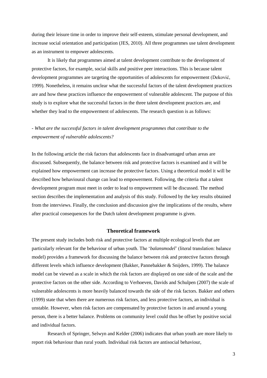during their leisure time in order to improve their self-esteem, stimulate personal development, and increase social orientation and participation (JES, 2010). All three programmes use talent development as an instrument to empower adolescents.

It is likely that programmes aimed at talent development contribute to the development of protective factors, for example, social skills and positive peer interactions. This is because talent development programmes are targeting the opportunities of adolescents for empowerment (Deković, 1999). Nonetheless, it remains unclear what the successful factors of the talent development practices are and how these practices influence the empowerment of vulnerable adolescent. The purpose of this study is to explore what the successful factors in the three talent development practices are, and whether they lead to the empowerment of adolescents. The research question is as follows:

# *- What are the successful factors in talent development programmes that contribute to the empowerment of vulnerable adolescents?*

In the following article the risk factors that adolescents face in disadvantaged urban areas are discussed. Subsequently, the balance between risk and protective factors is examined and it will be explained how empowerment can increase the protective factors. Using a theoretical model it will be described how behavioural change can lead to empowerment. Following, the criteria that a talent development program must meet in order to lead to empowerment will be discussed. The method section describes the implementation and analysis of this study. Followed by the key results obtained from the interviews. Finally, the conclusion and discussion give the implications of the results, where after practical consequences for the Dutch talent development programme is given.

## **Theoretical framework**

The present study includes both risk and protective factors at multiple ecological levels that are particularly relevant for the behaviour of urban youth. The "*balansmodel*" (literal translation: balance model) provides a framework for discussing the balance between risk and protective factors through different levels which influence development (Bakker, Pannebakker & Snijders, 1999). The balance model can be viewed as a scale in which the risk factors are displayed on one side of the scale and the protective factors on the other side. According to Verhoeven, Davids and Schulpen (2007) the scale of vulnerable adolescents is more heavily balanced towards the side of the risk factors. Bakker and others (1999) state that when there are numerous risk factors, and less protective factors, an individual is unstable. However, when risk factors are compensated by protective factors in and around a young person, there is a better balance. Problems on community level could thus be offset by positive social and individual factors.

Research of Springer, Selwyn and Kelder (2006) indicates that urban youth are more likely to report risk behaviour than rural youth. Individual risk factors are antisocial behaviour,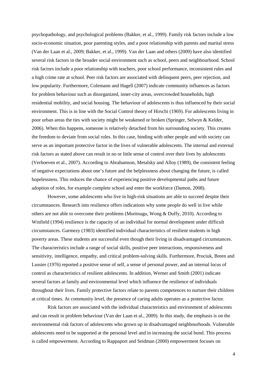psychopathology, and psychological problems (Bakker, et al., 1999). Family risk factors include a low socio-economic situation, poor parenting styles, and a poor relationship with parents and marital stress (Van der Laan et al., 2009; Bakker, et al., 1999). Van der Laan and others (2009) have also identified several risk factors in the broader social environment such as school, peers and neighbourhood. School risk factors include a poor relationship with teachers, poor school performance, inconsistent rules and a high crime rate at school. Peer risk factors are associated with delinquent peers, peer rejection, and low popularity. Furthermore, Colemann and Hagell (2007) indicate community influences as factors for problem behaviour such as disorganized, inner-city areas, overcrowded households, high residential mobility, and social housing. The behaviour of adolescents is thus influenced by their social environment. This is in line with the Social Control theory of Hirschi (1969). For adolescents living in poor urban areas the ties with society might be weakened or broken (Springer, Selwyn & Kelder, 2006). When this happens, someone is relatively detached from his surrounding society. This creates the freedom to deviate from social rules. In this case, binding with other people and with society can serve as an important protective factor in the lives of vulnerable adolescents. The internal and external risk factors as stated above can result in no or little sense of control over their lives by adolescents (Verhoeven et al., 2007). According to Abrahamson, Metalsky and Alloy (1989), the consistent feeling of negative expectations about one"s future and the helplessness about changing the future, is called hopelessness. This reduces the chance of experiencing positive developmental paths and future adoption of roles, for example complete school and enter the workforce (Damon, 2008).

However, some adolescents who live in high-risk situations are able to succeed despite their circumstances. Research into resilience offers indications why some people do well in live while others are not able to overcome their problems (Moritsugu, Wong & Duffy, 2010). According to Winfield (1994) resilience is the capacity of an individual for normal development under difficult circumstances. Garmezy (1983) identified individual characteristics of resilient students in high poverty areas. These students are successful even though their living in disadvantaged circumstances. The characteristics include a range of social skills, positive peer interactions, responsiveness and sensitivity, intelligence, empathy, and critical problem-solving skills. Furthermore, Prociuk, Breen and Lussier (1976) reported a positive sense of self, a sense of personal power, and an internal locus of control as characteristics of resilient adolescents. In addition, Werner and Smith (2001) indicate several factors at family and environmental level which influence the resilience of individuals throughout their lives. Family protective factors relate to parents competences to nurture their children at critical times. At community level, the presence of caring adults operates as a protective factor.

Risk factors are associated with the individual characteristics and environment of adolescents and can result in problem behaviour (Van der Laan et al., 2009). In this study, the emphasis is on the environmental risk factors of adolescents who grown up in disadvantaged neighbourhoods. Vulnerable adolescents need to be supported at the personal level and in increasing the social bond. This process is called empowerment. According to Rappaport and Seidman (2000) empowerment focuses on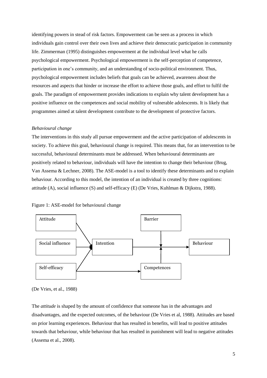identifying powers in stead of risk factors. Empowerment can be seen as a process in which individuals gain control over their own lives and achieve their democratic participation in community life. Zimmerman (1995) distinguishes empowerment at the individual level what he calls psychological empowerment. Psychological empowerment is the self-perception of competence, participation in one"s community, and an understanding of socio-political environment. Thus, psychological empowerment includes beliefs that goals can be achieved, awareness about the resources and aspects that hinder or increase the effort to achieve those goals, and effort to fulfil the goals. The paradigm of empowerment provides indications to explain why talent development has a positive influence on the competences and social mobility of vulnerable adolescents. It is likely that programmes aimed at talent development contribute to the development of protective factors.

#### *Behavioural change*

The interventions in this study all pursue empowerment and the active participation of adolescents in society. To achieve this goal, behavioural change is required. This means that, for an intervention to be successful, behavioural determinants must be addressed. When behavioural determinants are positively related to behaviour, individuals will have the intention to change their behaviour (Brug, Van Assema & Lechner, 2008). The ASE-model is a tool to identify these determinants and to explain behaviour. According to this model, the intention of an individual is created by three cognitions: attitude (A), social influence (S) and self-efficacy (E) (De Vries, Kuhlman & Dijkstra, 1988).





(De Vries, et al., 1988)

The *attitude* is shaped by the amount of confidence that someone has in the advantages and disadvantages, and the expected outcomes, of the behaviour (De Vries et al, 1988). Attitudes are based on prior learning experiences. Behaviour that has resulted in benefits, will lead to positive attitudes towards that behaviour, while behaviour that has resulted in punishment will lead to negative attitudes (Assema et al., 2008).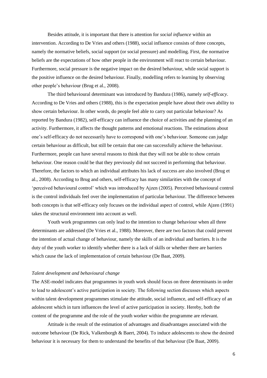Besides attitude, it is important that there is attention for *social influence* within an intervention. According to De Vries and others (1988), social influence consists of three concepts, namely the normative beliefs, social support (or social pressure) and modelling. First, the normative beliefs are the expectations of how other people in the environment will react to certain behaviour. Furthermore, social pressure is the negative impact on the desired behaviour, while social support is the positive influence on the desired behaviour. Finally, modelling refers to learning by observing other people"s behaviour (Brug et al., 2008).

The third behavioural determinant was introduced by Bandura (1986), namely *self-efficacy*. According to De Vries and others (1988), this is the expectation people have about their own ability to show certain behaviour. In other words, do people feel able to carry out particular behaviour? As reported by Bandura (1982), self-efficacy can influence the choice of activities and the planning of an activity. Furthermore, it affects the thought patterns and emotional reactions. The estimations about one"s self-efficacy do not necessarily have to correspond with one"s behaviour. Someone can judge certain behaviour as difficult, but still be certain that one can successfully achieve the behaviour. Furthermore, people can have several reasons to think that they will not be able to show certain behaviour. One reason could be that they previously did not succeed in performing that behaviour. Therefore, the factors to which an individual attributes his lack of success are also involved (Brug et al., 2008). According to Brug and others, self-efficacy has many similarities with the concept of "perceived behavioural control" which was introduced by Ajzen (2005). Perceived behavioural control is the control individuals feel over the implementation of particular behaviour. The difference between both concepts is that self-efficacy only focuses on the individual aspect of control, while Ajzen (1991) takes the structural environment into account as well.

Youth work programmes can only lead to the intention to change behaviour when all three determinants are addressed (De Vries et al., 1988). Moreover, there are two factors that could prevent the intention of actual change of behaviour, namely the skills of an individual and barriers. It is the duty of the youth worker to identify whether there is a lack of skills or whether there are barriers which cause the lack of implementation of certain behaviour (De Baat, 2009).

#### *Talent development and behavioural change*

The ASE-model indicates that programmes in youth work should focus on three determinants in order to lead to adolescent"s active participation in society. The following section discusses which aspects within talent development programmes stimulate the attitude, social influence, and self-efficacy of an adolescent which in turn influences the level of active participation in society. Hereby, both the content of the programme and the role of the youth worker within the programme are relevant.

Attitude is the result of the estimation of advantages and disadvantages associated with the outcome behaviour (De Rick, Valkenborgh & Baert, 2004). To induce adolescents to show the desired behaviour it is necessary for them to understand the benefits of that behaviour (De Baat, 2009).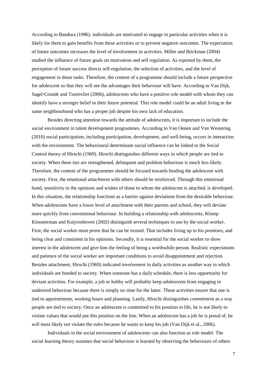According to Bandura (1986), individuals are motivated to engage in particular activities when it is likely for them to gain benefits from these activities or to prevent negative outcomes. The expectation of future outcomes increases the level of involvement in activities. Miller and Brickman (2004) studied the influence of future goals on motivation and self regulation. As reported by them, the perception of future success directs self-regulation, the selection of activities, and the level of engagement in those tasks. Therefore, the content of a programme should include a future perspective for adolescent so that they will see the advantages their behaviour will have. According to Van Dijk, Sagel-Grande and Toornvliet (2006), adolescents who have a positive role model with whom they can identify have a stronger belief in their future potential. This role model could be an adult living in the same neighbourhood who has a proper job despite his own lack of education.

Besides directing attention towards the attitude of adolescents, it is important to include the social environment in talent development programmes. According to Van Oenen and Van Westering (2010) social participation, including participation, development, and well-being, occurs in interaction with the environment. The behavioural determinant social influence can be linked to the Social Control theory of Hirschi (1969). Hirschi distinguishes different ways in which people are tied to society. When these ties are strengthened, delinquent and problem behaviour is much less likely. Therefore, the content of the programmes should be focused towards binding the adolescent with society. First, the emotional *attachment* with others should be reinforced. Through this emotional bond, sensitivity to the opinions and wishes of those to whom the adolescent is attached, is developed. In this situation, the relationship functions as a barrier against deviations from the desirable behaviour. When adolescents have a lower level of attachment with their parents and school, they will deviate more quickly from conventional behaviour. In building a relationship with adolescents, Klomp Kloosterman and Kuijvenhoven (2002) distinguish several techniques to use by the social worker. First, the social worker must prove that he can be trusted. That includes living up to his promises, and being clear and consistent in his opinions. Secondly, it is essential for the social worker to show interest in the adolescent and give him the feeling of being a worthwhile person. Realistic expectations and patience of the social worker are important conditions to avoid disappointment and rejection. Besides attachment, Hirschi (1969) indicated *involvement* in daily activities as another way in which individuals are bonded to society. When someone has a daily schedule, there is less opportunity for deviant activities. For example, a job or hobby will probably keep adolescents from engaging in undesired behaviour because there is simply no time for the latter. These activities ensure that one is tied to appointments, working hours and planning. Lastly, Hirschi distinguishes *commitment* as a way people are tied to society. Once an adolescent is committed to his position in life, he is not likely to violate values that would put this position on the line. When an adolescent has a job he is proud of, he will most likely not violate the rules because he wants to keep his job (Van Dijk et al., 2006).

Individuals in the social environment of adolescents can also function as role model. The social learning theory assumes that social behaviour is learned by observing the behaviours of others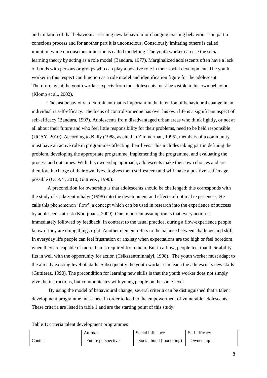and imitation of that behaviour. Learning new behaviour or changing existing behaviour is in part a conscious process and for another part it is unconscious. Consciously imitating others is called imitation while unconscious imitation is called modelling. The youth worker can use the social learning theory by acting as a role model (Bandura, 1977). Marginalized adolescents often have a lack of bonds with persons or groups who can play a positive role in their social development. The youth worker in this respect can function as a role model and identification figure for the adolescent. Therefore, what the youth worker expects from the adolescents must be visible in his own behaviour (Klomp et al., 2002).

The last behavioural determinant that is important in the intention of behavioural change in an individual is self-efficacy. The locus of control someone has over his own life is a significant aspect of self-efficacy (Bandura, 1997). Adolescents from disadvantaged urban areas who think lightly, or not at all about their future and who feel little responsibility for their problems, need to be held responsible (UCAY, 2010). According to Kelly (1988, as cited in Zimmerman, 1995), members of a community must have an active role in programmes affecting their lives. This includes taking part in defining the problem, developing the appropriate programme, implementing the programme, and evaluating the process and outcomes. With this ownership approach, adolescents make their own choices and are therefore in charge of their own lives. It gives them self-esteem and will make a positive self-image possible (UCAY, 2010; Guttierez, 1990).

A precondition for ownership is that adolescents should be challenged; this corresponds with the study of Csikszentmihalyi (1998) into the development and effects of optimal experiences. He calls this phenomenon "flow", a concept which can be used in research into the experience of success by adolescents at risk (Kooijmans, 2009). One important assumption is that every action is immediately followed by feedback. In contrast to the usual practice, during a flow-experience people know if they are doing things right. Another element refers to the balance between challenge and skill. In everyday life people can feel frustration or anxiety when expectations are too high or feel boredom when they are capable of more than is required from them. But in a flow, people feel that their ability fits in well with the opportunity for action (Csikszentminhalyi, 1998). The youth worker must adapt to the already existing level of skills. Subsequently the youth worker can teach the adolescents new skills (Guttierez, 1990). The precondition for learning new skills is that the youth worker does not simply give the instructions, but communicates with young people on the same level.

By using the model of behavioural change, several criteria can be distinguished that a talent development programme must meet in order to lead to the empowerment of vulnerable adolescents. These criteria are listed in table 1 and are the starting point of this study.

| Table 1: criteria talent development programmes |  |
|-------------------------------------------------|--|
|-------------------------------------------------|--|

|         | Attitude           | Social influence          | Self-efficacy |
|---------|--------------------|---------------------------|---------------|
| Content | Future perspective | - Social bond (modelling) | - Ownership   |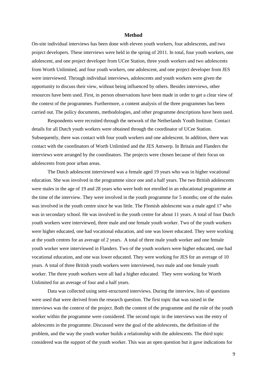#### **Method**

On-site individual interviews has been done with eleven youth workers, four adolescents, and two project developers. These interviews were held in the spring of 2011. In total, four youth workers, one adolescent, and one project developer from UCee Station, three youth workers and two adolescents from Worth Unlimited, and four youth workers, one adolescent, and one project developer from JES were interviewed. Through individual interviews, adolescents and youth workers were given the opportunity to discuss their view, without being influenced by others. Besides interviews, other resources have been used. First, in person observations have been made in order to get a clear view of the context of the programmes. Furthermore, a content analysis of the three programmes has been carried out. The policy documents, methodologies, and other programme descriptions have been used.

Respondents were recruited through the network of the Netherlands Youth Institute. Contact details for all Dutch youth workers were obtained through the coordinator of UCee Station. Subsequently, there was contact with four youth workers and one adolescent. In addition, there was contact with the coordinators of Worth Unlimited and the JES Antwerp. In Britain and Flanders the interviews were arranged by the coordinators. The projects were chosen because of their focus on adolescents from poor urban areas.

The Dutch adolescent interviewed was a female aged 19 years who was in higher vocational education. She was involved in the programme since one and a half years. The two British adolescents were males in the age of 19 and 28 years who were both not enrolled in an educational programme at the time of the interview. They were involved in the youth programme for 5 months; one of the males was involved in the youth centre since he was little. The Flemish adolescent was a male aged 17 who was in secondary school. He was involved in the youth centre for about 11 years. A total of four Dutch youth workers were interviewed, three male and one female youth worker. Two of the youth workers were higher educated, one had vocational education, and one was lower educated. They were working at the youth centres for an average of 2 years. A total of three male youth worker and one female youth worker were interviewed in Flanders. Two of the youth workers were higher educated, one had vocational education, and one was lower educated. They were working for JES for an average of 10 years. A total of three British youth workers were interviewed, two male and one female youth worker. The three youth workers were all had a higher educated. They were working for Worth Unlimited for an average of four and a half years.

Data was collected using semi-structured interviews. During the interview, lists of questions were used that were derived from the research question. The first topic that was raised in the interviews was the context of the project. Both the content of the programme and the role of the youth worker within the programme were considered. The second topic in the interviews was the entry of adolescents in the programme. Discussed were the goal of the adolescents, the definition of the problem, and the way the youth worker builds a relationship with the adolescents. The third topic considered was the support of the youth worker. This was an open question but it gave indications for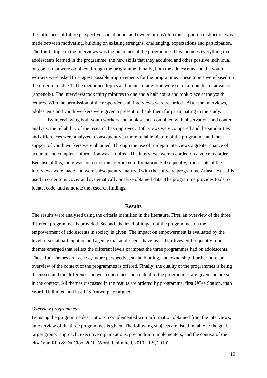the influences of future perspective, social bond, and ownership. Within this support a distinction was made between motivating, building on existing strengths, challenging, expectations and participation. The fourth topic in the interviews was the outcomes of the programme. This includes everything that adolescents learned in the programme, the new skills that they acquired and other positive individual outcomes that were obtained through the programme. Finally, both the adolescents and the youth workers were asked to suggest possible improvements for the programme. These topics were based on the criteria in table 1. The mentioned topics and points of attention were set in a topic list in advance (appendix). The interviews took thirty minutes to one and a half hours and took place at the youth centres. With the permission of the respondents all interviews were recorded. After the interviews, adolescents and youth workers were given a present to thank them for participating in the study.

By interviewing both youth workers and adolescents, combined with observations and content analysis, the reliability of the research has improved. Both views were compared and the similarities and differences were analyzed. Consequently, a more reliable picture of the programme and the support of youth workers were obtained. Through the use of in-depth interviews a greater chance of accurate and complete information was acquired. The interviews were recorded on a voice recorder. Because of this, there was no lost or misinterpreted information. Subsequently, transcripts of the interviews were made and were subsequently analyzed with the software programme Atlasti. Atlasti is used in order to uncover and systematically analyze obtained data. The programme provides tools to locate, code, and annotate the research findings.

#### **Results**

The results were analysed using the criteria identified in the literature. First, an overview of the three different programmes is provided. Second, the level of impact of the programmes on the empowerment of adolescents in society is given. The impact on empowerment is evaluated by the level of social participation and agency that adolescents have over their lives. Subsequently four themes emerged that reflect the different levels of impact the three programmes had on adolescents. These four themes are: access, future perspective, social binding, and ownership. Furthermore, an overview of the context of the programmes is offered. Finally, the quality of the programmes is being discussed and the differences between outcomes and content of the programmes are given and are set in the context. All themes discussed in the results are ordered by programme, first UCee Station, than Worth Unlimited and last JES Antwerp are argued.

#### *Overview programmes*

By using the programme descriptions, complemented with information obtained from the interviews, an overview of the three programmes is given. The following subjects are listed in table 2: the goal, target group, approach, executive organizations, precondition implementers, and the context of the city (Van Rijn & Du Cloo, 2010; Worth Unlimited, 2010; JES, 2010)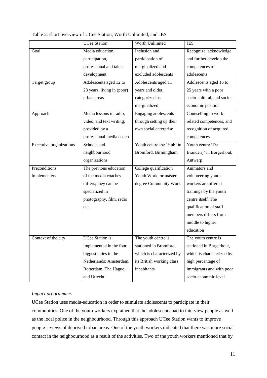|  |  | Table 2: short overview of UCee Station, Worth Unlimited, and JES |
|--|--|-------------------------------------------------------------------|
|--|--|-------------------------------------------------------------------|

|                         | <b>UCee Station</b>        | Worth Unlimited             | <b>JES</b>                 |
|-------------------------|----------------------------|-----------------------------|----------------------------|
| Goal                    | Media education,           | Inclusion and               | Recognize, acknowledge     |
|                         | participation,             | participation of            | and further develop the    |
|                         | professional and talent    | marginalized and            | competences of             |
|                         | development                | excluded adolescents        | adolescents                |
| Target group            | Adolescents aged 12 to     | Adolescents aged 11         | Adolescents aged 16 to     |
|                         | 23 years, living in (poor) | years and older,            | 25 years with a poor       |
|                         | urban areas                | categorized as              | socio-cultural, and socio- |
|                         |                            | marginalized                | economic position          |
| Approach                | Media lessons in radio,    | <b>Engaging adolescents</b> | Counselling in work-       |
|                         | video, and text writing,   | through setting up their    | related competences, and   |
|                         | provided by a              | own social enterprise       | recognition of acquired    |
|                         | professional media coach   |                             | competences                |
| Executive organizations | Schools and                | Youth centre the 'Hub' in   | Youth centre 'De           |
|                         | neighbourhood              | Bromford, Birmingham        | Branderij' in Borgerhout,  |
|                         | organizations              |                             | Antwerp                    |
| Preconditions           | The previous education     | College qualification       | Animators and              |
| implementers            | of the media coaches       | Youth Work, or master       | volunteering youth         |
|                         | differs; they can be       | degree Community Work       | workers are offered        |
|                         | specialized in             |                             | trainings by the youth     |
|                         | photography, film, radio   |                             | centre itself. The         |
|                         | etc.                       |                             | qualification of staff     |
|                         |                            |                             | members differs from       |
|                         |                            |                             | middle to higher           |
|                         |                            |                             | education                  |
| Context of the city     | <b>UCee Station is</b>     | The youth centre is         | The youth centre is        |
|                         | implemented in the four    | stationed in Bromford,      | stationed in Borgerhout,   |
|                         | biggest cities in the      | which is characterized by   | which is characterized by  |
|                         | Netherlands: Amsterdam,    | its British working class   | high percentage of         |
|                         | Rotterdam, The Hague,      | inhabitants                 | immigrants and with poor   |
|                         | and Utrecht.               |                             | socio-economic level       |

# *Impact programmes*

UCee Station uses media-education in order to stimulate adolescents to participate in their communities. One of the youth workers explained that the adolescents had to interview people as well as the local police in the neighbourhood. Through this approach UCee Station wants to improve people"s views of deprived urban areas. One of the youth workers indicated that there was more social contact in the neighbourhood as a result of the activities. Two of the youth workers mentioned that by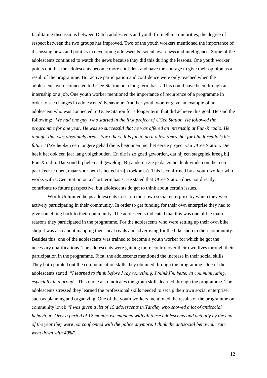facilitating discussions between Dutch adolescents and youth from ethnic minorities, the degree of respect between the two groups has improved. Two of the youth workers mentioned the importance of discussing news and politics in developing adolescents" social awareness and intelligence. Some of the adolescents continued to watch the news because they did this during the lessons. One youth worker points out that the adolescents become more confident and have the courage to give their opinion as a result of the programme. But active participation and confidence were only reached when the adolescents were connected to UCee Station on a long-term basis. This could have been through an internship or a job. One youth worker mentioned the importance of recurrence of a programme in order to see changes in adolescents" behaviour. Another youth worker gave an example of an adolescent who was connected to UCee Station for a longer term that did achieve this goal. He said the following: "*We had one guy, who started in the first project of UCee Station. He followed the programme for one year. He was so successful that he was offered an internship at Fun-X radio. He thought that was absolutely great. For others, it is fun to do it a few times, but for him it really is his future*" (We hebben een jongere gehad die is begonnen met het eerste project van UCee Station. Die heeft het ook een jaar lang volgehouden. En die is zo goed geworden, dat hij een stageplek kreeg bij Fun-X radio. Dat vond hij helemaal geweldig. Bij anderen zie je dat ze het leuk vinden om het een paar keer te doen, maar voor hem is het echt zijn toekomst). This is confirmed by a youth worker who works with UCee Station on a short term basis. He stated that UCee Station does not directly contribute to future perspective, but adolescents do get to think about certain issues.

Worth Unlimited helps adolescents to set up their own social enterprise by which they were actively participating in their community. In order to get funding for their own enterprise they had to give something back to their community. The adolescents indicated that this was one of the main reasons they participated in the programme. For the adolescents who were setting up their own bike shop it was also about mapping their local rivals and advertising for the bike shop in their community. Besides this, one of the adolescents was trained to become a youth worker for which he got the necessary qualifications. The adolescents were gaining more control over their own lives through their participation in the programme. First, the adolescents mentioned the increase in their social skills. They both pointed out the communication skills they obtained through the programme. One of the adolescents stated: "*I learned to think before I say something. I think I'm better at communicating, especially in a group*". This quote also indicates the group skills learned through the programme. The adolescents stressed they learned the professional skills needed to set up their own social enterprise, such as planning and organizing. One of the youth workers mentioned the results of the programme on community level: "*I was given a list of 15 adolescents in Yardley who showed a lot of antisocial behaviour. Over a period of 12 months we engaged with all these adolescents and actually by the end of the year they were not confronted with the police anymore. I think the antisocial behaviour rate went down with 40%*".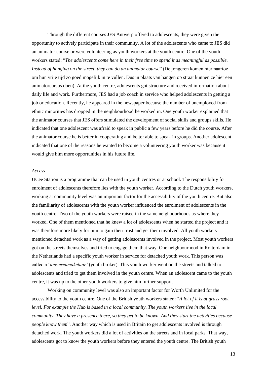Through the different courses JES Antwerp offered to adolescents, they were given the opportunity to actively participate in their community. A lot of the adolescents who came to JES did an animator course or were volunteering as youth workers at the youth centre. One of the youth workers stated: "*The adolescents come here in their free time to spend it as meaningful as possible. Instead of hanging on the street, they can do an animator course*" (De jongeren komen hier naartoe om hun vrije tijd zo goed mogelijk in te vullen. Dus in plaats van hangen op straat kunnen ze hier een animatorcursus doen). At the youth centre, adolescents got structure and received information about daily life and work. Furthermore, JES had a job coach in service who helped adolescents in getting a job or education. Recently, he appeared in the newspaper because the number of unemployed from ethnic minorities has dropped in the neighbourhood he worked in. One youth worker explained that the animator courses that JES offers stimulated the development of social skills and groups skills. He indicated that one adolescent was afraid to speak in public a few years before he did the course. After the animator course he is better in cooperating and better able to speak in groups. Another adolescent indicated that one of the reasons he wanted to become a volunteering youth worker was because it would give him more opportunities in his future life.

#### *Access*

UCee Station is a programme that can be used in youth centres or at school. The responsibility for enrolment of adolescents therefore lies with the youth worker. According to the Dutch youth workers, working at community level was an important factor for the accessibility of the youth centre. But also the familiarity of adolescents with the youth worker influenced the enrolment of adolescents in the youth centre. Two of the youth workers were raised in the same neighbourhoods as where they worked. One of them mentioned that he knew a lot of adolescents when he started the project and it was therefore more likely for him to gain their trust and get them involved. All youth workers mentioned detached work as a way of getting adolescents involved in the project. Most youth workers got on the streets themselves and tried to engage them that way. One neighbourhood in Rotterdam in the Netherlands had a specific youth worker in service for detached youth work. This person was called a "*jongerenmakelaar'* (youth broker). This youth worker went on the streets and talked to adolescents and tried to get them involved in the youth centre. When an adolescent came to the youth centre, it was up to the other youth workers to give him further support.

Working on community level was also an important factor for Worth Unlimited for the accessibility to the youth centre. One of the British youth workers stated: "*A lot of it is at grass root level. For example the Hub is based in a local community. The youth workers live in the local community. They have a presence there, so they get to be known. And they start the activities because people know them*". Another way which is used in Britain to get adolescents involved is through detached work. The youth workers did a lot of activities on the streets and in local parks. That way, adolescents got to know the youth workers before they entered the youth centre. The British youth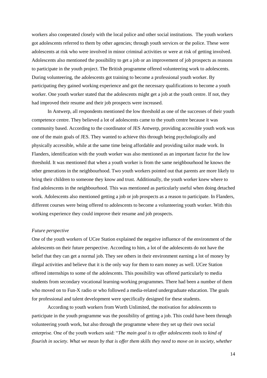workers also cooperated closely with the local police and other social institutions. The youth workers got adolescents referred to them by other agencies; through youth services or the police. These were adolescents at risk who were involved in minor criminal activities or were at risk of getting involved. Adolescents also mentioned the possibility to get a job or an improvement of job prospects as reasons to participate in the youth project. The British programme offered volunteering work to adolescents. During volunteering, the adolescents got training to become a professional youth worker. By participating they gained working experience and got the necessary qualifications to become a youth worker. One youth worker stated that the adolescents might get a job at the youth centre. If not, they had improved their resume and their job prospects were increased.

In Antwerp, all respondents mentioned the low threshold as one of the successes of their youth competence centre. They believed a lot of adolescents came to the youth centre because it was community based. According to the coordinator of JES Antwerp, providing accessible youth work was one of the main goals of JES. They wanted to achieve this through being psychologically and physically accessible, while at the same time being affordable and providing tailor made work. In Flanders, identification with the youth worker was also mentioned as an important factor for the low threshold. It was mentioned that when a youth worker is from the same neighbourhood he knows the other generations in the neighbourhood. Two youth workers pointed out that parents are more likely to bring their children to someone they know and trust. Additionally, the youth worker knew where to find adolescents in the neighbourhood. This was mentioned as particularly useful when doing detached work. Adolescents also mentioned getting a job or job prospects as a reason to participate. In Flanders, different courses were being offered to adolescents to become a volunteering youth worker. With this working experience they could improve their resume and job prospects.

#### *Future perspective*

One of the youth workers of UCee Station explained the negative influence of the environment of the adolescents on their future perspective. According to him, a lot of the adolescents do not have the belief that they can get a normal job. They see others in their environment earning a lot of money by illegal activities and believe that it is the only way for them to earn money as well. UCee Station offered internships to some of the adolescents. This possibility was offered particularly to media students from secondary vocational learning-working programmes. There had been a number of them who moved on to Fun-X radio or who followed a media-related undergraduate education. The goals for professional and talent development were specifically designed for these students.

According to youth workers from Worth Unlimited, the motivation for adolescents to participate in the youth programme was the possibility of getting a job. This could have been through volunteering youth work, but also through the programme where they set up their own social enterprise. One of the youth workers said: "*The main goal is to offer adolescents tools to kind of flourish in society. What we mean by that is offer them skills they need to move on in society, whether*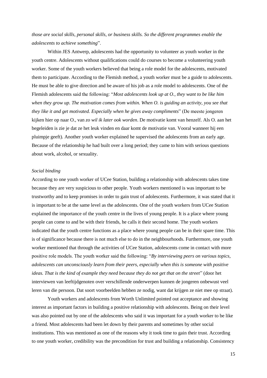*those are social skills, personal skills, or business skills. So the different programmes enable the adolescents to achieve something*".

Within JES Antwerp, adolescents had the opportunity to volunteer as youth worker in the youth centre. Adolescents without qualifications could do courses to become a volunteering youth worker. Some of the youth workers believed that being a role model for the adolescents, motivated them to participate. According to the Flemish method, a youth worker must be a guide to adolescents. He must be able to give direction and be aware of his job as a role model to adolescents. One of the Flemish adolescents said the following: "*Most adolescents look up at O., they want to be like him when they grow up. The motivation comes from within. When O. is guiding an activity, you see that they like it and get motivated. Especially when he gives away compliments*" (De meeste jongeren kijken hier op naar O., van *zo wil ik later ook worden*. De motivatie komt van henzelf. Als O. aan het begeleiden is zie je dat ze het leuk vinden en daar komt de motivatie van. Vooral wanneer hij een pluimpje geeft). Another youth worker explained he supervised the adolescents from an early age. Because of the relationship he had built over a long period; they came to him with serious questions about work, alcohol, or sexuality.

#### *Social binding*

According to one youth worker of UCee Station, building a relationship with adolescents takes time because they are very suspicious to other people. Youth workers mentioned is was important to be trustworthy and to keep promises in order to gain trust of adolescents. Furthermore, it was stated that it is important to be at the same level as the adolescents. One of the youth workers from UCee Station explained the importance of the youth centre in the lives of young people. It is a place where young people can come to and be with their friends, he calls it their second home. The youth workers indicated that the youth centre functions as a place where young people can be in their spare time. This is of significance because there is not much else to do in the neighbourhoods. Furthermore, one youth worker mentioned that through the activities of UCee Station, adolescents come in contact with more positive role models. The youth worker said the following: "*By interviewing peers on various topics, adolescents can unconsciously learn from their peers, especially when this is someone with positive ideas. That is the kind of example they need because they do not get that on the street*" (door het interviewen van leeftijdgenoten over verschillende onderwerpen kunnen de jongeren onbewust veel leren van die persoon. Dat soort voorbeelden hebben ze nodig, want dat krijgen ze niet mee op straat).

Youth workers and adolescents from Worth Unlimited pointed out acceptance and showing interest as important factors in building a positive relationship with adolescents. Being on their level was also pointed out by one of the adolescents who said it was important for a youth worker to be like a friend. Most adolescents had been let down by their parents and sometimes by other social institutions. This was mentioned as one of the reasons why it took time to gain their trust. According to one youth worker, credibility was the precondition for trust and building a relationship. Consistency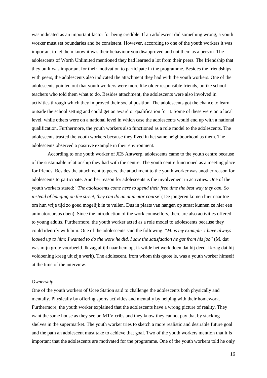was indicated as an important factor for being credible. If an adolescent did something wrong, a youth worker must set boundaries and be consistent. However, according to one of the youth workers it was important to let them know it was their behaviour you disapproved and not them as a person. The adolescents of Worth Unlimited mentioned they had learned a lot from their peers. The friendship that they built was important for their motivation to participate in the programme. Besides the friendships with peers, the adolescents also indicated the attachment they had with the youth workers. One of the adolescents pointed out that youth workers were more like older responsible friends, unlike school teachers who told them what to do. Besides attachment, the adolescents were also involved in activities through which they improved their social position. The adolescents got the chance to learn outside the school setting and could get an award or qualification for it. Some of these were on a local level, while others were on a national level in which case the adolescents would end up with a national qualification. Furthermore, the youth workers also functioned as a role model to the adolescents. The adolescents trusted the youth workers because they lived in het same neighbourhood as them. The adolescents observed a positive example in their environment.

According to one youth worker of JES Antwerp, adolescents came to the youth centre because of the sustainable relationship they had with the centre. The youth centre functioned as a meeting place for friends. Besides the attachment to peers, the attachment to the youth worker was another reason for adolescents to participate. Another reason for adolescents is the involvement in activities. One of the youth workers stated: "*The adolescents come here to spend their free time the best way they can. So instead of hanging on the street, they can do an animator course*"( De jongeren komen hier naar toe om hun vrije tijd zo goed mogelijk in te vullen. Dus in plaats van hangen op straat kunnen ze hier een animatorcursus doen). Since the introduction of the work counsellors, there are also activities offered to young adults. Furthermore, the youth worker acted as a role model to adolescents because they could identify with him. One of the adolescents said the following: "*M. is my example. I have always looked up to him; I wanted to do the work he did. I saw the satisfaction he got from his job*" (M. dat was mijn grote voorbeeld. Ik zag altijd naar hem op, ik wilde het werk doen dat hij deed. Ik zag dat hij voldoening kreeg uit zijn werk). The adolescent, from whom this quote is, was a youth worker himself at the time of the interview.

#### *Ownership*

One of the youth workers of Ucee Station said to challenge the adolescents both physically and mentally. Physically by offering sports activities and mentally by helping with their homework. Furthermore, the youth worker explained that the adolescents have a wrong picture of reality. They want the same house as they see on MTV cribs and they know they cannot pay that by stacking shelves in the supermarket. The youth worker tries to sketch a more realistic and desirable future goal and the path an adolescent must take to achieve that goal. Two of the youth workers mention that it is important that the adolescents are motivated for the programme. One of the youth workers told he only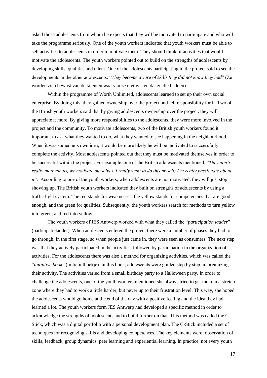asked those adolescents from whom he expects that they will be motivated to participate and who will take the programme seriously. One of the youth workers indicated that youth workers must be able to sell activities to adolescents in order to motivate them. They should think of activities that would motivate the adolescents. The youth workers pointed out to build on the strengths of adolescents by developing skills, qualities and talent. One of the adolescents participating in the project said to see the developments in the other adolescents: "*They become aware of skills they did not know they had*" (Ze worden zich bewust van de talenten waarvan ze niet wisten dat ze die hadden).

Within the programme of Worth Unlimited, adolescents learned to set up their own social enterprise. By doing this, they gained ownership over the project and felt responsibility for it. Two of the British youth workers said that by giving adolescents ownership over the project, they will appreciate it more. By giving more responsibilities to the adolescents, they were more involved in the project and the community. To motivate adolescents, two of the British youth workers found it important to ask what they wanted to do, what they wanted to see happening in the neighbourhood. When it was someone's own idea, it would be more likely he will be motivated to successfully complete the activity. Most adolescents pointed out that they must be motivated themselves in order to be successful within the project. For example, one of the British adolescents mentioned: "*They don't really motivate us, we motivate ourselves. I really want to do this myself; I'm really passionate about it*". According to one of the youth workers, when adolescents are not motivated, they will just stop showing up. The British youth workers indicated they built on strengths of adolescents by using a traffic light system. The red stands for weaknesses, the yellow stands for competencies that are good enough, and the green for qualities. Subsequently, the youth workers search for methods to turn yellow into green, and red into yellow.

The youth workers of JES Antwerp worked with what they called the "*participation ladder*" (participatieladder). When adolescents entered the project there were a number of phases they had to go through. In the first stage, so when people just came in, they were seen as consumers. The next step was that they actively participated in the activities, followed by participation in the organization of activities. For the adolescents there was also a method for organizing activities, which was called the "*initiative book*" (initiatiefboekje). In this book, adolescents were guided step by step, in organizing their activity. The activities varied from a small birthday party to a Halloween party. In order to challenge the adolescents, one of the youth workers mentioned she always tried to get them in a stretch zone where they had to work a little harder, but never up to their frustration level. This way, she hoped the adolescents would go home at the end of the day with a positive feeling and the idea they had learned a lot. The youth workers form JES Antwerp had developed a specific method in order to acknowledge the strengths of adolescents and to build further on that. This method was called the C-Stick, which was a digital portfolio with a personal development plan. The C-Stick included a set of techniques for recognizing skills and developing competences. The key elements were: observation of skills, feedback, group dynamics, peer learning and experiential learning. In practice, not every youth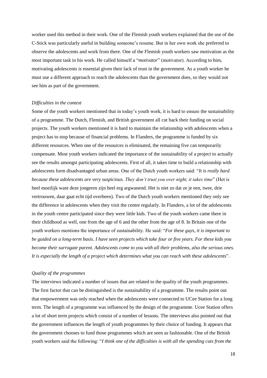worker used this method in their work. One of the Flemish youth workers explained that the use of the C-Stick was particularly useful in building someone"s resume. But in her own work she preferred to observe the adolescents and work from there. One of the Flemish youth workers saw motivation as the most important task in his work. He called himself a "*motivator*" (motivator). According to him, motivating adolescents is essential given their lack of trust in the government. As a youth worker he must use a different approach to reach the adolescents than the government does, so they would not see him as part of the government.

#### *Difficulties in the context*

Some of the youth workers mentioned that in today"s youth work, it is hard to ensure the sustainability of a programme. The Dutch, Flemish, and British government all cut back their funding on social projects. The youth workers mentioned it is hard to maintain the relationship with adolescents when a project has to stop because of financial problems. In Flanders, the programme is funded by six different resources. When one of the resources is eliminated, the remaining five can temporarily compensate. Most youth workers indicated the importance of the sustainability of a project to actually see the results amongst participating adolescents. First of all, it takes time to build a relationship with adolescents form disadvantaged urban areas. One of the Dutch youth workers said: "*It is really hard because these adolescents are very suspicious. They don't trust you over night, it takes time*" (Het is heel moeilijk want deze jongeren zijn heel erg argwanend. Het is niet zo dat ze je een, twee, drie vertrouwen, daar gaat echt tijd overheen). Two of the Dutch youth workers mentioned they only see the difference in adolescents when they visit the centre regularly. In Flanders, a lot of the adolescents in the youth centre participated since they were little kids. Two of the youth workers came there in their childhood as well, one from the age of 6 and the other from the age of 8. In Britain one of the youth workers mentions the importance of sustainability. He said: "*For these guys, it is important to be guided on a long-term basis. I have seen projects which take four or five years. For these kids you become their surrogate parent. Adolescents come to you with all their problems, also the serious ones. It is especially the length of a project which determines what you can reach with these adolescents*".

#### *Quality of the programmes*

The interviews indicated a number of issues that are related to the quality of the youth programmes. The first factor that can be distinguished is the sustainability of a programme. The results point out that empowerment was only reached when the adolescents were connected to UCee Station for a long term. The length of a programme was influenced by the design of the programme. Ucee Station offers a lot of short term projects which consist of a number of lessons. The interviews also pointed out that the government influences the length of youth programmes by their choice of funding. It appears that the government chooses to fund those programmes which are seen as fashionable. One of the British youth workers said the following: "*I think one of the difficulties is with all the spending cuts from the*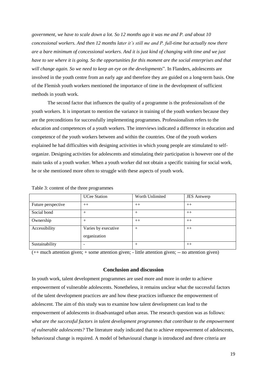*government, we have to scale down a lot. So 12 months ago it was me and P. and about 10 concessional workers. And then 12 months later it's still me and P. full-time but actually now there are a bare minimum of concessional workers. And it is just kind of changing with time and we just have to see where it is going. So the opportunities for this moment are the social enterprises and that will change again. So we need to keep an eye on the developments*". In Flanders, adolescents are involved in the youth centre from an early age and therefore they are guided on a long-term basis. One of the Flemish youth workers mentioned the importance of time in the development of sufficient methods in youth work.

The second factor that influences the quality of a programme is the professionalism of the youth workers. It is important to mention the variance in training of the youth workers because they are the preconditions for successfully implementing programmes. Professionalism refers to the education and competences of a youth workers. The interviews indicated a difference in education and competence of the youth workers between and within the countries. One of the youth workers explained he had difficulties with designing activities in which young people are stimulated to selforganize. Designing activities for adolescents and stimulating their participation is however one of the main tasks of a youth worker. When a youth worker did not obtain a specific training for social work, he or she mentioned more often to struggle with these aspects of youth work.

|                    | <b>UCee Station</b> | Worth Unlimited | <b>JES</b> Antwerp |
|--------------------|---------------------|-----------------|--------------------|
| Future perspective | $++$                | $++$            | $++$               |
| Social bond        |                     | $\pm$           | $++$               |
| Ownership          |                     | $++$            | $++$               |
| Accessibility      | Varies by executive | $\pm$           | $++$               |
|                    | organization        |                 |                    |
| Sustainability     |                     | $^+$            | $++$               |

Table 3: content of the three programmes

(++ much attention given; + some attention given; - little attention given; -- no attention given)

#### **Conclusion and discussion**

In youth work, talent development programmes are used more and more in order to achieve empowerment of vulnerable adolescents. Nonetheless, it remains unclear what the successful factors of the talent development practices are and how these practices influence the empowerment of adolescent. The aim of this study was to examine how talent development can lead to the empowerment of adolescents in disadvantaged urban areas. The research question was as follows: *what are the successful factors in talent development programmes that contribute to the empowerment of vulnerable adolescents?* The literature study indicated that to achieve empowerment of adolescents, behavioural change is required. A model of behavioural change is introduced and three criteria are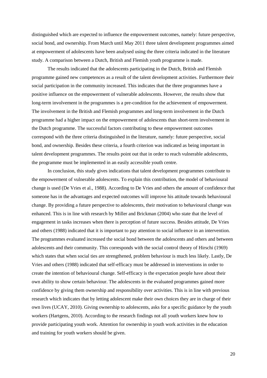distinguished which are expected to influence the empowerment outcomes, namely: future perspective, social bond, and ownership. From March until May 2011 three talent development programmes aimed at empowerment of adolescents have been analysed using the three criteria indicated in the literature study. A comparison between a Dutch, British and Flemish youth programme is made.

The results indicated that the adolescents participating in the Dutch, British and Flemish programme gained new competences as a result of the talent development activities. Furthermore their social participation in the community increased. This indicates that the three programmes have a positive influence on the empowerment of vulnerable adolescents. However, the results show that long-term involvement in the programmes is a pre-condition for the achievement of empowerment. The involvement in the British and Flemish programmes and long-term involvement in the Dutch programme had a higher impact on the empowerment of adolescents than short-term involvement in the Dutch programme. The successful factors contributing to these empowerment outcomes correspond with the three criteria distinguished in the literature, namely: future perspective, social bond, and ownership. Besides these criteria, a fourth criterion was indicated as being important in talent development programmes. The results point out that in order to reach vulnerable adolescents, the programme must be implemented in an easily accessible youth centre.

In conclusion, this study gives indications that talent development programmes contribute to the empowerment of vulnerable adolescents. To explain this contribution, the model of behavioural change is used (De Vries et al., 1988). According to De Vries and others the amount of confidence that someone has in the advantages and expected outcomes will improve his attitude towards behavioural change. By providing a future perspective to adolescents, their motivation to behavioural change was enhanced. This is in line with research by Miller and Brickman (2004) who state that the level of engagement in tasks increases when there is perception of future success. Besides attitude, De Vries and others (1988) indicated that it is important to pay attention to social influence in an intervention. The programmes evaluated increased the social bond between the adolescents and others and between adolescents and their community. This corresponds with the social control theory of Hirschi (1969) which states that when social ties are strengthened, problem behaviour is much less likely. Lastly, De Vries and others (1988) indicated that self-efficacy must be addressed in interventions in order to create the intention of behavioural change. Self-efficacy is the expectation people have about their own ability to show certain behaviour. The adolescents in the evaluated programmes gained more confidence by giving them ownership and responsibility over activities. This is in line with previous research which indicates that by letting adolescent make their own choices they are in charge of their own lives (UCAY, 2010). Giving ownership to adolescents, asks for a specific guidance by the youth workers (Hartgens, 2010). According to the research findings not all youth workers knew how to provide participating youth work. Attention for ownership in youth work activities in the education and training for youth workers should be given.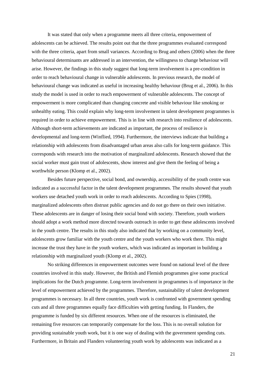It was stated that only when a programme meets all three criteria, empowerment of adolescents can be achieved. The results point out that the three programmes evaluated correspond with the three criteria, apart from small variances. According to Brug and others (2006) when the three behavioural determinants are addressed in an intervention, the willingness to change behaviour will arise. However, the findings in this study suggest that long-term involvement is a pre-condition in order to reach behavioural change in vulnerable adolescents. In previous research, the model of behavioural change was indicated as useful in increasing healthy behaviour (Brug et al., 2006). In this study the model is used in order to reach empowerment of vulnerable adolescents. The concept of empowerment is more complicated than changing concrete and visible behaviour like smoking or unhealthy eating. This could explain why long-term involvement in talent development programmes is required in order to achieve empowerment. This is in line with research into resilience of adolescents. Although short-term achievements are indicated as important, the process of resilience is developmental and long-term (Winflied, 1994). Furthermore, the interviews indicate that building a relationship with adolescents from disadvantaged urban areas also calls for long-term guidance. This corresponds with research into the motivation of marginalized adolescents. Research showed that the social worker must gain trust of adolescents, show interest and give them the feeling of being a worthwhile person (Klomp et al., 2002).

Besides future perspective, social bond, and ownership, accessibility of the youth centre was indicated as a successful factor in the talent development programmes. The results showed that youth workers use detached youth work in order to reach adolescents. According to Spies (1998), marginalized adolescents often distrust public agencies and do not go there on their own initiative. These adolescents are in danger of losing their social bond with society. Therefore, youth workers should adopt a work method more directed towards outreach in order to get these adolescents involved in the youth centre. The results in this study also indicated that by working on a community level, adolescents grow familiar with the youth centre and the youth workers who work there. This might increase the trust they have in the youth workers, which was indicated as important in building a relationship with marginalized youth (Klomp et al., 2002).

No striking differences in empowerment outcomes were found on national level of the three countries involved in this study. However, the British and Flemish programmes give some practical implications for the Dutch programme. Long-term involvement in programmes is of importance in the level of empowerment achieved by the programmes. Therefore, sustainability of talent development programmes is necessary. In all three countries, youth work is confronted with government spending cuts and all three programmes equally face difficulties with getting funding. In Flanders, the programme is funded by six different resources. When one of the resources is eliminated, the remaining five resources can temporarily compensate for the loss. This is no overall solution for providing sustainable youth work, but it is one way of dealing with the government spending cuts. Furthermore, in Britain and Flanders volunteering youth work by adolescents was indicated as a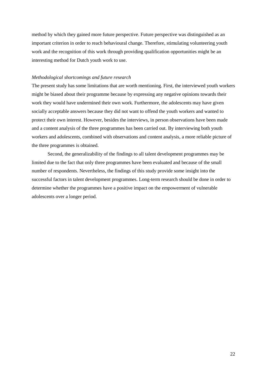method by which they gained more future perspective. Future perspective was distinguished as an important criterion in order to reach behavioural change. Therefore, stimulating volunteering youth work and the recognition of this work through providing qualification opportunities might be an interesting method for Dutch youth work to use.

#### *Methodological shortcomings and future research*

The present study has some limitations that are worth mentioning. First, the interviewed youth workers might be biased about their programme because by expressing any negative opinions towards their work they would have undermined their own work. Furthermore, the adolescents may have given socially acceptable answers because they did not want to offend the youth workers and wanted to protect their own interest. However, besides the interviews, in person observations have been made and a content analysis of the three programmes has been carried out. By interviewing both youth workers and adolescents, combined with observations and content analysis, a more reliable picture of the three programmes is obtained.

Second, the generalizability of the findings to all talent development programmes may be limited due to the fact that only three programmes have been evaluated and because of the small number of respondents. Nevertheless, the findings of this study provide some insight into the successful factors in talent development programmes. Long-term research should be done in order to determine whether the programmes have a positive impact on the empowerment of vulnerable adolescents over a longer period.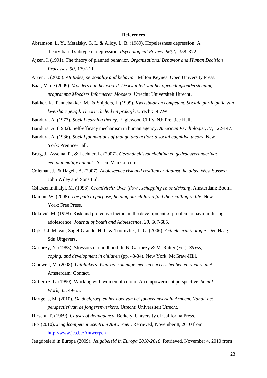#### **References**

- Abramson, L. Y., Metalsky, G. I., & Alloy, L. B. (1989). Hopelessness depression: A theory-based subtype of depression. *Psychological Review, 96(2)*, 358–372.
- Ajzen, I. (1991). The theory of planned behavior. *Organizational Behavior and Human Decision Processes, 50*, 179-211.
- Ajzen, I. (2005). *Attitudes, personality and behavior*. Milton Keynes: Open University Press.
- Baat, M. de (2009). *Moeders aan het woord. De kwaliteit van het opvoedingsondersteuningsprogramma Moeders Informeren Moeders*. Utrecht: Universiteit Utrecht.
- Bakker, K., Pannebakker, M., & Snijders, J. (1999). *Kwetsbaar en competent. Sociale participatie van kwetsbare jeugd. Theorie, beleid en praktijk*. Utrecht: NIZW.
- Bandura, A. (1977). *Social learning theory*. Englewood Cliffs, NJ: Prentice Hall.
- Bandura, A. (1982). Self-efficacy mechanism in human agency. *American Psychologist, 37*, 122-147.
- Bandura, A. (1986). *Social foundations of thoughtand action: a social cognitive theory*. New York: Prentice-Hall.
- Brug, J., Assema, P., & Lechner, L. (2007). *Gezondheidsvoorlichting en gedragsverandering: een planmatige aanpak*. Assen: Van Gorcum
- Coleman, J., & Hagell, A. (2007). *Adolescence risk and resilience: Against the odds*. West Sussex: John Wiley and Sons Ltd.
- Csikszentmihalyi, M. (1998). *Creativiteit: Over 'flow', schepping en ontdekking*. Amsterdam: Boom.
- Damon, W. (2008). *The path to purpose, helping our children find their calling in life*. New York: Free Press.
- Deković, M. (1999). Risk and protective factors in the development of problem behaviour during adolescence. *Journal of Youth and Adolescence, 28*, 667-685.
- Dijk, J. J. M. van, Sagel-Grande, H. I., & Toornvliet, L. G. (2006). *Actuele criminologie*. Den Haag: Sdu Uitgevers.
- Garmezy, N. (1983). Stressors of childhood. In N. Garmezy & M. Rutter (Ed.), *Stress, coping, and development in children* (pp. 43-84). New York: McGraw-Hill.
- Gladwell, M. (2008). *Uitblinkers. Waarom sommige mensen success hebben en andere niet*. Amsterdam: Contact.
- Gutierrez, L. (1990). Working with women of colour: An empowerment perspective. *Social Work, 35*, 49-53.
- Hartgens, M. (2010). *De doelgroep en het doel van het jongerenwerk in Arnhem. Vanuit het perspectief van de jongerenwerkers*. Utrecht: Universiteit Utrecht.
- Hirschi, T. (1969). *Causes of delinquency*. Berkely: University of California Press.
- JES (2010). *Jeugdcompetentiecentrum Antwerpen*. Retrieved, November 8, 2010 from <http://www.jes.be/Antwerpen>

Jeugdbeleid in Europa (2009). *Jeugdbeleid in Europa 2010-2018*. Retrieved, November 4, 2010 from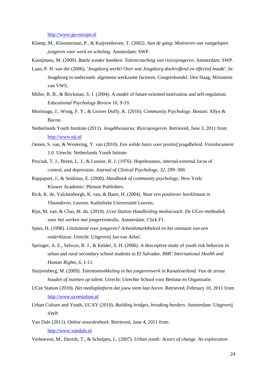[http://www.go-europe.nl](http://www.go-europe.nl/)

Klomp, M., Kloosterman, P., & Kuijvenhoven, T. (2002). *Aan de gang: Motiveren van vastgelopen jongeren voor werk en scholing*. Amsterdam: SWP.

Kooijmans, M. (2009). *Battle zonder knokken. Talentcoaching van risicojongeren*. Amsterdam: SWP.

- Laan, P. H. van der (2006), *'Jeugdzorg werkt! Over wat Jeugdzorg doeltreffend en effectief maakt'*. In: Jeugdzorg in onderzoek: algemeen werkzame factoren. Congresbundel. Den Haag, Ministerie van VWS.
- Miller, R. B., & Brickman, S. J. (2004). A model of future-oriented motivation and self-regulation. *Educational Psychology Review 16*, 9-33.
- Moritsugu, J., Wong, F. Y., & Grover Duffy, K. (2010). *Community Psychology*. Boston: Allyn & Bacon.
- Netherlands Youth Institute (2011). *Jeugdthesaurus. Risicojongeren*. Retrieved, June 3, 2011 from [http://www.nji.nl](http://www.nji.nl/)
- Oenen, S. van, & Westering, Y. van (2010). *Een solide basis voor positief jeugdbeleid. Visiedocument 1.0*. Utrecht: Netherlands Youth Intitute.
- Prociuk, T. J., Breen, L. J., & Lussier, R. J. (1976). Hopelessness, internal-external locus of control, and depression. *Journal of Clinical Psychology, 32*, 299–300.
- Rappaport, J., & Seidman, E. (2000). *Handbook of community psychology*. New York: Kluwer Academic/ Plenum Publishers.
- Rick, K. de, Valckenborgh, K. van, & Baert, H. (2004). *Naar een positiever leerklimaat in Vlaanderen*. Leuven: Katholieke Universiteit Leuven.
- Rijn, M. van, & Cloo, M. du. (2010). *Ucee Station Handleiding mediacoach. De UCee-methodiek voor het werken met jongerenmedia*. Amsterdam: Click F1.
- Spies, H. (1998). *Uitsluitend voor jongeren? Arbeidsmarktbeleid en het ontstaan van een onderklasse*. Utrecht: Uitgeverij Jan van Arkel.
- Springer, A. E., Selwyn, B. J., & Kelder, S. H. (2006). A descriptive study of youth risk behavior in urban and rural secondary school students in El Salvador. *BMC International Health and Human Rights*, *6*, 1-11.
- Stuijvenberg, M. (2009). *Talentontwikkeling in het jongerenwerk in Kanaleneiland. Van de straat houden of inzetten op talent*. Utrecht: Utrechte School voor Bestuur en Organisatie.
- UCee Station (2010). *Het mediaplatform dat jouw stem laat horen*. Retrieved, February 10, 2011 from [http://www.uceestation.nl](http://www.uceestation.nl/)
- Urban Culture and Youth, UCAY (2010). *Building bridges, breaking borders*. Amsterdam: Uitgeverij SWP.
- Van Dale (2011). *Online woordenboek*. Retrieved, June 4, 2011 from [http://www.vandale.nl](http://www.vandale.nl/)
- Verhoeven, M., Davids, T., & Schulpen, L. (2007). *Urban youth: Actors of change. An exploration*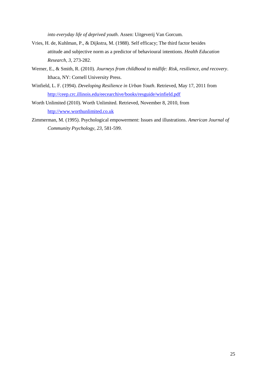*into everyday life of deprived youth*. Assen: Uitgeverij Van Gorcum.

- Vries, H. de, Kuhlman, P., & Dijkstra, M. (1988). Self efficacy; The third factor besides attitude and subjective norm as a predictor of behavioural intentions. *Health Education Research, 3*, 273-282.
- Werner, E., & Smith, R. (2010). *Journeys from childhood to midlife: Risk, resilience, and recovery*. Ithaca, NY: Cornell University Press.
- Winfield, L. F. (1994). *Developing Resilience in Urban Youth*. Retrieved, May 17, 2011 from <http://ceep.crc.illinois.edu/eecearchive/books/resguide/winfield.pdf>
- Worth Unlimited (2010). Worth Unlimited. Retrieved, November 8, 2010, from [http://www.worthunlimited.co.uk](http://www.worthunlimited.co.uk/)
- Zimmerman, M. (1995). Psychological empowerment: Issues and illustrations. *American Journal of Community Psychology, 23,* 581-599.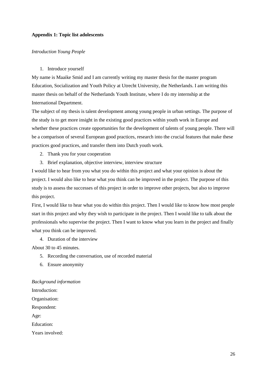#### **Appendix 1: Topic list adolescents**

#### *Introduction Young People*

#### 1. Introduce yourself

My name is Maaike Smid and I am currently writing my master thesis for the master program Education, Socialization and Youth Policy at Utrecht University, the Netherlands. I am writing this master thesis on behalf of the Netherlands Youth Institute, where I do my internship at the International Department.

The subject of my thesis is talent development among young people in urban settings. The purpose of the study is to get more insight in the existing good practices within youth work in Europe and whether these practices create opportunities for the development of talents of young people. There will be a comparison of several European good practices, research into the crucial features that make these practices good practices, and transfer them into Dutch youth work.

- 2. Thank you for your cooperation
- 3. Brief explanation, objective interview, interview structure

I would like to hear from you what you do within this project and what your opinion is about the project. I would also like to hear what you think can be improved in the project. The purpose of this study is to assess the successes of this project in order to improve other projects, but also to improve this project.

First, I would like to hear what you do within this project. Then I would like to know how most people start in this project and why they wish to participate in the project. Then I would like to talk about the professionals who supervise the project. Then I want to know what you learn in the project and finally what you think can be improved.

4. Duration of the interview

About 30 to 45 minutes.

- 5. Recording the conversation, use of recorded material
- 6. Ensure anonymity

*Background information* Introduction: Organisation: Respondent: Age: Education: Years involved: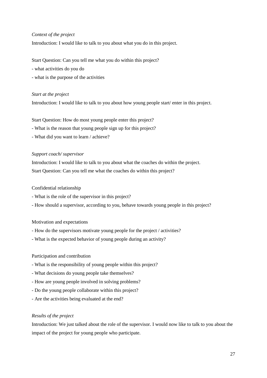# *Context of the project*

Introduction: I would like to talk to you about what you do in this project.

Start Question: Can you tell me what you do within this project?

- what activities do you do
- what is the purpose of the activities

#### *Start at the project*

Introduction: I would like to talk to you about how young people start/ enter in this project.

Start Question: How do most young people enter this project?

- What is the reason that young people sign up for this project?
- What did you want to learn / achieve?

#### *Support coach/ supervisor*

Introduction: I would like to talk to you about what the coaches do within the project. Start Question: Can you tell me what the coaches do within this project?

## Confidential relationship

- What is the role of the supervisor in this project?
- How should a supervisor, according to you, behave towards young people in this project?

#### Motivation and expectations

- How do the supervisors motivate young people for the project / activities?
- What is the expected behavior of young people during an activity?

# Participation and contribution

- What is the responsibility of young people within this project?
- What decisions do young people take themselves?
- How are young people involved in solving problems?
- Do the young people collaborate within this project?
- Are the activities being evaluated at the end?

#### *Results of the project*

Introduction: We just talked about the role of the supervisor. I would now like to talk to you about the impact of the project for young people who participate.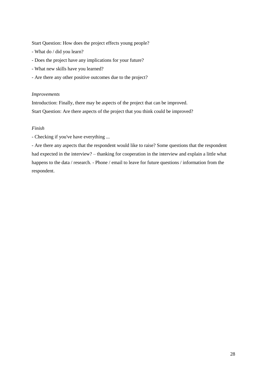Start Question: How does the project effects young people?

- What do / did you learn?
- Does the project have any implications for your future?
- What new skills have you learned?
- Are there any other positive outcomes due to the project?

#### *Improvements*

Introduction: Finally, there may be aspects of the project that can be improved.

Start Question: Are there aspects of the project that you think could be improved?

# *Finish*

- Checking if you've have everything ...

- Are there any aspects that the respondent would like to raise? Some questions that the respondent had expected in the interview? – thanking for cooperation in the interview and explain a little what happens to the data / research. - Phone / email to leave for future questions / information from the respondent.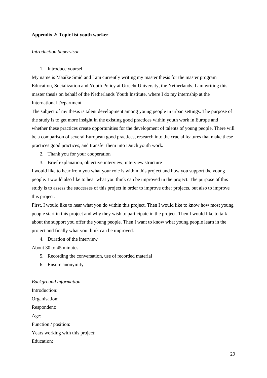#### **Appendix 2: Topic list youth worker**

#### *Introduction Supervisor*

#### 1. Introduce yourself

My name is Maaike Smid and I am currently writing my master thesis for the master program Education, Socialization and Youth Policy at Utrecht University, the Netherlands. I am writing this master thesis on behalf of the Netherlands Youth Institute, where I do my internship at the International Department.

The subject of my thesis is talent development among young people in urban settings. The purpose of the study is to get more insight in the existing good practices within youth work in Europe and whether these practices create opportunities for the development of talents of young people. There will be a comparison of several European good practices, research into the crucial features that make these practices good practices, and transfer them into Dutch youth work.

- 2. Thank you for your cooperation
- 3. Brief explanation, objective interview, interview structure

I would like to hear from you what your role is within this project and how you support the young people. I would also like to hear what you think can be improved in the project. The purpose of this study is to assess the successes of this project in order to improve other projects, but also to improve this project.

First, I would like to hear what you do within this project. Then I would like to know how most young people start in this project and why they wish to participate in the project. Then I would like to talk about the support you offer the young people. Then I want to know what young people learn in the project and finally what you think can be improved.

4. Duration of the interview

About 30 to 45 minutes.

- 5. Recording the conversation, use of recorded material
- 6. Ensure anonymity

*Background information* Introduction: Organisation: Respondent: Age: Function / position: Years working with this project: Education: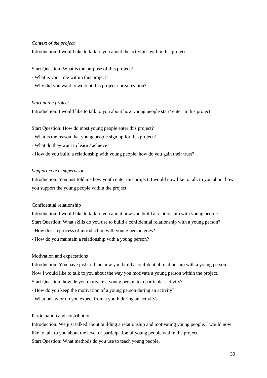## *Context of the project*

Introduction: I would like to talk to you about the activities within this project.

Start Question: What is the purpose of this project?

- What is your role within this project?
- Why did you want to work at this project / organization?

#### *Start at the project*

Introduction: I would like to talk to you about how young people start/ enter in this project.

Start Question: How do most young people enter this project?

- What is the reason that young people sign up for this project?
- What do they want to learn / achieve?
- How do you build a relationship with young people, how do you gain their trust?

#### *Support coach/ supervisor*

Introduction: You just told me how youth enter this project. I would now like to talk to you about how you support the young people within the project.

#### Confidential relationship

Introduction: I would like to talk to you about how you build a relationship with young people.

Start Question: What skills do you use to build a confidential relationship with a young person?

- How does a process of introduction with young person goes?
- How do you maintain a relationship with a young person?

#### Motivation and expectations

Introduction: You have just told me how you build a confidential relationship with a young person.

Now I would like to talk to you about the way you motivate a young person within the project.

Start Question: how de you motivate a young person to a particular activity?

- How do you keep the motivation of a young person during an activity?
- What behavior do you expect from a youth during an activity?

#### Participation and contribution

Introduction: We just talked about building a relationship and motivating young people. I would now like to talk to you about the level of participation of young people within the project. Start Question: What methods do you use to teach young people.